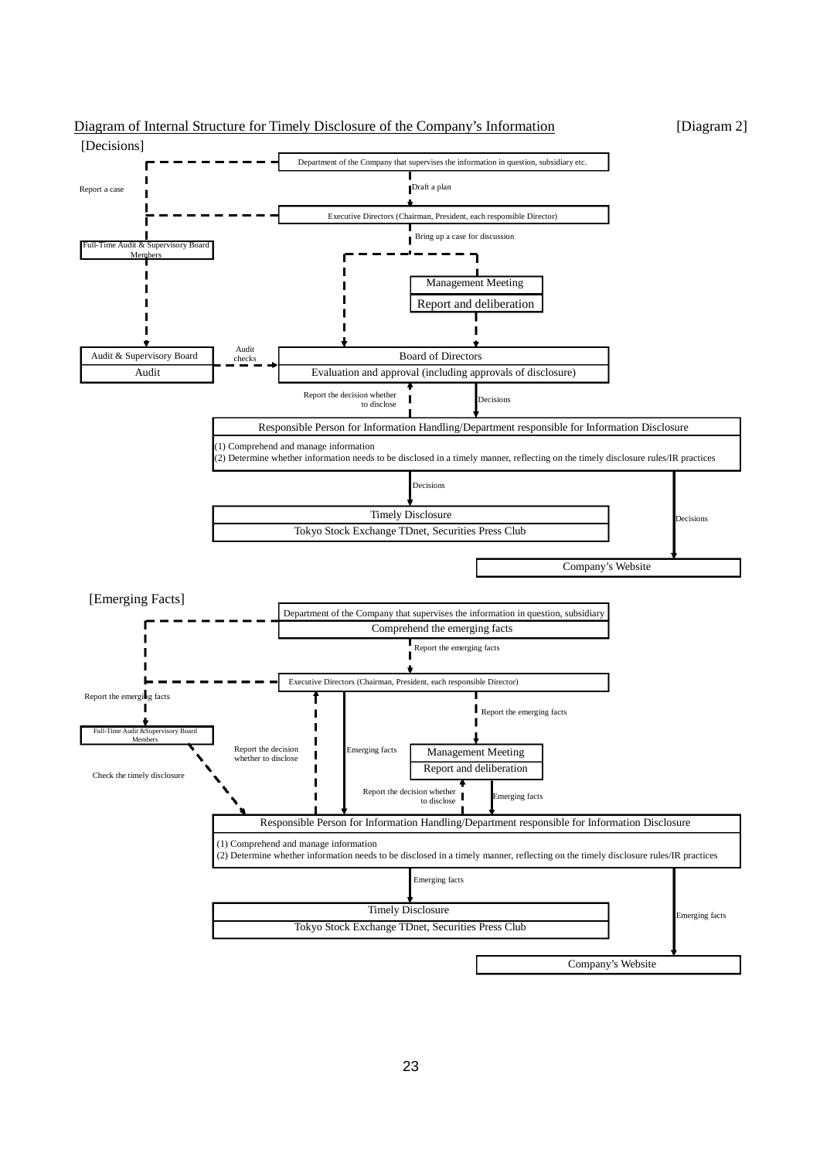

## Diagram of Internal Structure for Timely Disclosure of the Company's Information [Diagram 2]